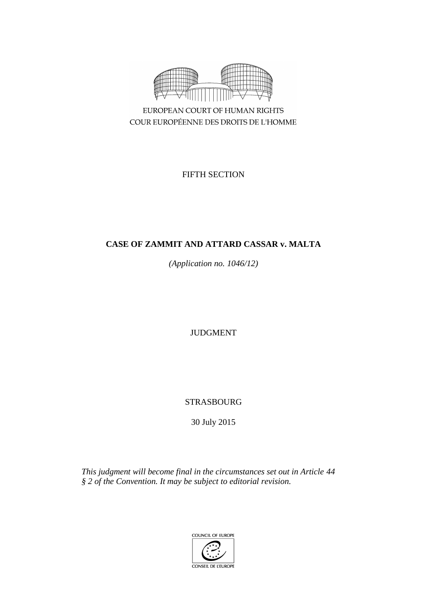

COUR EUROPÉENNE DES DROITS DE L'HOMME

FIFTH SECTION

# **CASE OF ZAMMIT AND ATTARD CASSAR v. MALTA**

*(Application no. 1046/12)*

JUDGMENT

STRASBOURG

30 July 2015

*This judgment will become final in the circumstances set out in Article 44 § 2 of the Convention. It may be subject to editorial revision.*

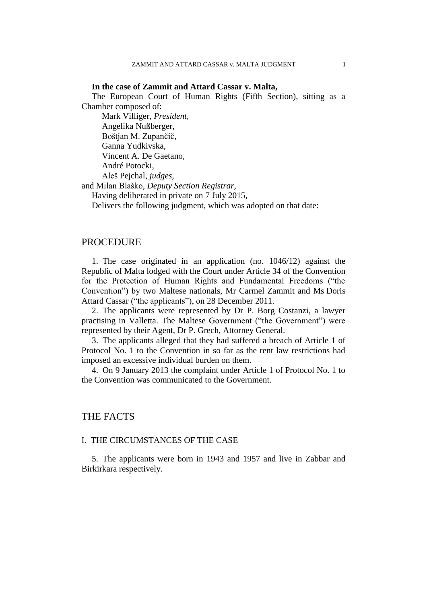## **In the case of Zammit and Attard Cassar v. Malta,**

The European Court of Human Rights (Fifth Section), sitting as a Chamber composed of:

Mark Villiger, *President,* Angelika Nußberger, Boštjan M. Zupančič, Ganna Yudkivska, Vincent A. De Gaetano, André Potocki, Aleš Pejchal, *judges,*

and Milan Blaško, *Deputy Section Registrar,*

Having deliberated in private on 7 July 2015,

Delivers the following judgment, which was adopted on that date:

# PROCEDURE

1. The case originated in an application (no. 1046/12) against the Republic of Malta lodged with the Court under Article 34 of the Convention for the Protection of Human Rights and Fundamental Freedoms ("the Convention") by two Maltese nationals, Mr Carmel Zammit and Ms Doris Attard Cassar ("the applicants"), on 28 December 2011.

2. The applicants were represented by Dr P. Borg Costanzi, a lawyer practising in Valletta. The Maltese Government ("the Government") were represented by their Agent, Dr P. Grech, Attorney General.

3. The applicants alleged that they had suffered a breach of Article 1 of Protocol No. 1 to the Convention in so far as the rent law restrictions had imposed an excessive individual burden on them.

4. On 9 January 2013 the complaint under Article 1 of Protocol No. 1 to the Convention was communicated to the Government.

# THE FACTS

## I. THE CIRCUMSTANCES OF THE CASE

5. The applicants were born in 1943 and 1957 and live in Zabbar and Birkirkara respectively.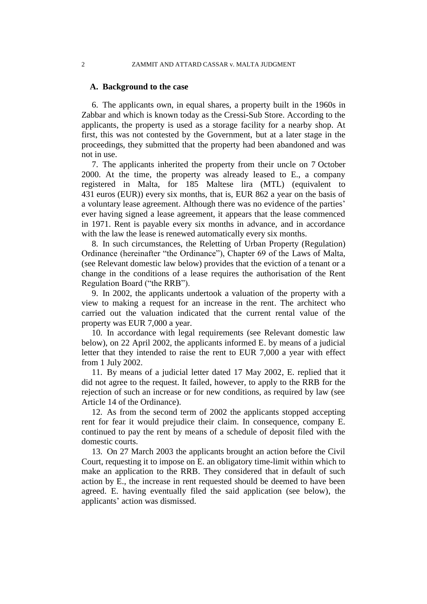### 2 ZAMMIT AND ATTARD CASSAR v. MALTA JUDGMENT

## **A. Background to the case**

6. The applicants own, in equal shares, a property built in the 1960s in Zabbar and which is known today as the Cressi-Sub Store. According to the applicants, the property is used as a storage facility for a nearby shop. At first, this was not contested by the Government, but at a later stage in the proceedings, they submitted that the property had been abandoned and was not in use.

7. The applicants inherited the property from their uncle on 7 October 2000. At the time, the property was already leased to E., a company registered in Malta, for 185 Maltese lira (MTL) (equivalent to 431 euros (EUR)) every six months, that is, EUR 862 a year on the basis of a voluntary lease agreement. Although there was no evidence of the parties' ever having signed a lease agreement, it appears that the lease commenced in 1971. Rent is payable every six months in advance, and in accordance with the law the lease is renewed automatically every six months.

8. In such circumstances, the Reletting of Urban Property (Regulation) Ordinance (hereinafter "the Ordinance"), Chapter 69 of the Laws of Malta, (see Relevant domestic law below) provides that the eviction of a tenant or a change in the conditions of a lease requires the authorisation of the Rent Regulation Board ("the RRB").

9. In 2002, the applicants undertook a valuation of the property with a view to making a request for an increase in the rent. The architect who carried out the valuation indicated that the current rental value of the property was EUR 7,000 a year.

10. In accordance with legal requirements (see Relevant domestic law below), on 22 April 2002, the applicants informed E. by means of a judicial letter that they intended to raise the rent to EUR 7,000 a year with effect from 1 July 2002.

11. By means of a judicial letter dated 17 May 2002, E. replied that it did not agree to the request. It failed, however, to apply to the RRB for the rejection of such an increase or for new conditions, as required by law (see Article 14 of the Ordinance).

12. As from the second term of 2002 the applicants stopped accepting rent for fear it would prejudice their claim. In consequence, company E. continued to pay the rent by means of a schedule of deposit filed with the domestic courts.

13. On 27 March 2003 the applicants brought an action before the Civil Court, requesting it to impose on E. an obligatory time-limit within which to make an application to the RRB. They considered that in default of such action by E., the increase in rent requested should be deemed to have been agreed. E. having eventually filed the said application (see below), the applicants' action was dismissed.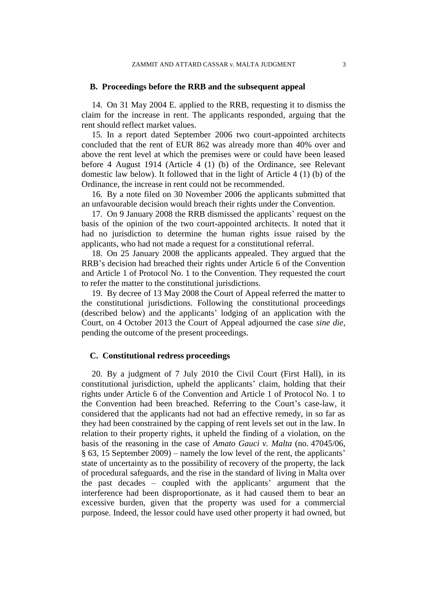## **B. Proceedings before the RRB and the subsequent appeal**

14. On 31 May 2004 E. applied to the RRB, requesting it to dismiss the claim for the increase in rent. The applicants responded, arguing that the rent should reflect market values.

15. In a report dated September 2006 two court-appointed architects concluded that the rent of EUR 862 was already more than 40% over and above the rent level at which the premises were or could have been leased before 4 August 1914 (Article 4 (1) (b) of the Ordinance, see Relevant domestic law below). It followed that in the light of Article 4 (1) (b) of the Ordinance, the increase in rent could not be recommended.

16. By a note filed on 30 November 2006 the applicants submitted that an unfavourable decision would breach their rights under the Convention.

17. On 9 January 2008 the RRB dismissed the applicants' request on the basis of the opinion of the two court-appointed architects. It noted that it had no jurisdiction to determine the human rights issue raised by the applicants, who had not made a request for a constitutional referral.

18. On 25 January 2008 the applicants appealed. They argued that the RRB's decision had breached their rights under Article 6 of the Convention and Article 1 of Protocol No. 1 to the Convention. They requested the court to refer the matter to the constitutional jurisdictions.

19. By decree of 13 May 2008 the Court of Appeal referred the matter to the constitutional jurisdictions. Following the constitutional proceedings (described below) and the applicants' lodging of an application with the Court, on 4 October 2013 the Court of Appeal adjourned the case *sine die,* pending the outcome of the present proceedings.

### **C. Constitutional redress proceedings**

20. By a judgment of 7 July 2010 the Civil Court (First Hall), in its constitutional jurisdiction, upheld the applicants' claim, holding that their rights under Article 6 of the Convention and Article 1 of Protocol No. 1 to the Convention had been breached. Referring to the Court's case-law, it considered that the applicants had not had an effective remedy, in so far as they had been constrained by the capping of rent levels set out in the law. In relation to their property rights, it upheld the finding of a violation, on the basis of the reasoning in the case of *Amato Gauci v. Malta* (no. 47045/06, § 63, 15 September 2009) – namely the low level of the rent, the applicants' state of uncertainty as to the possibility of recovery of the property, the lack of procedural safeguards, and the rise in the standard of living in Malta over the past decades – coupled with the applicants' argument that the interference had been disproportionate, as it had caused them to bear an excessive burden, given that the property was used for a commercial purpose. Indeed, the lessor could have used other property it had owned, but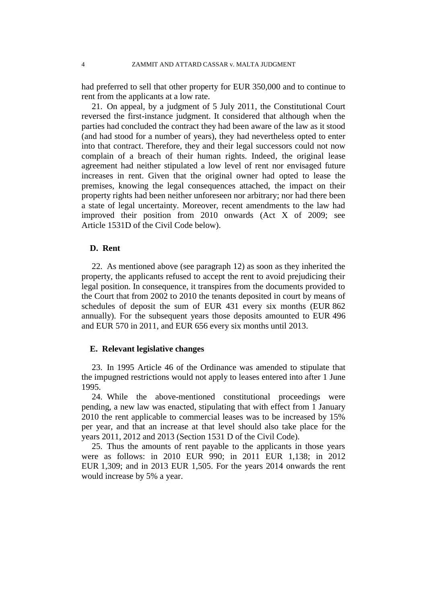had preferred to sell that other property for EUR 350,000 and to continue to rent from the applicants at a low rate.

21. On appeal, by a judgment of 5 July 2011, the Constitutional Court reversed the first-instance judgment. It considered that although when the parties had concluded the contract they had been aware of the law as it stood (and had stood for a number of years), they had nevertheless opted to enter into that contract. Therefore, they and their legal successors could not now complain of a breach of their human rights. Indeed, the original lease agreement had neither stipulated a low level of rent nor envisaged future increases in rent. Given that the original owner had opted to lease the premises, knowing the legal consequences attached, the impact on their property rights had been neither unforeseen nor arbitrary; nor had there been a state of legal uncertainty. Moreover, recent amendments to the law had improved their position from 2010 onwards (Act X of 2009; see Article 1531D of the Civil Code below).

# **D. Rent**

22. As mentioned above (see paragraph 12) as soon as they inherited the property, the applicants refused to accept the rent to avoid prejudicing their legal position. In consequence, it transpires from the documents provided to the Court that from 2002 to 2010 the tenants deposited in court by means of schedules of deposit the sum of EUR 431 every six months (EUR 862 annually). For the subsequent years those deposits amounted to EUR 496 and EUR 570 in 2011, and EUR 656 every six months until 2013.

## **E. Relevant legislative changes**

23. In 1995 Article 46 of the Ordinance was amended to stipulate that the impugned restrictions would not apply to leases entered into after 1 June 1995.

24. While the above-mentioned constitutional proceedings were pending, a new law was enacted, stipulating that with effect from 1 January 2010 the rent applicable to commercial leases was to be increased by 15% per year, and that an increase at that level should also take place for the years 2011, 2012 and 2013 (Section 1531 D of the Civil Code).

25. Thus the amounts of rent payable to the applicants in those years were as follows: in 2010 EUR 990; in 2011 EUR 1,138; in 2012 EUR 1,309; and in 2013 EUR 1,505. For the years 2014 onwards the rent would increase by 5% a year.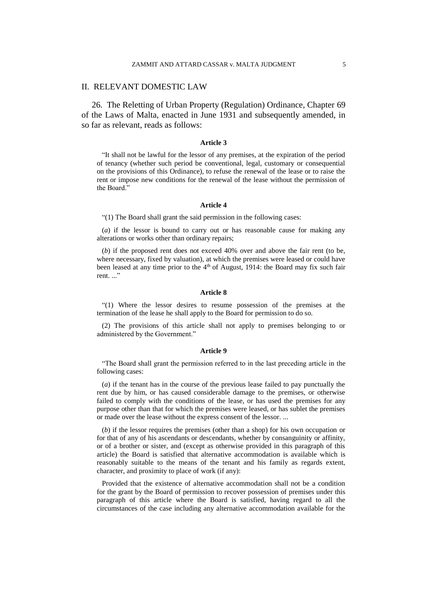## II. RELEVANT DOMESTIC LAW

26. The Reletting of Urban Property (Regulation) Ordinance, Chapter 69 of the Laws of Malta, enacted in June 1931 and subsequently amended, in so far as relevant, reads as follows:

### **Article 3**

"It shall not be lawful for the lessor of any premises, at the expiration of the period of tenancy (whether such period be conventional, legal, customary or consequential on the provisions of this Ordinance), to refuse the renewal of the lease or to raise the rent or impose new conditions for the renewal of the lease without the permission of the Board."

### **Article 4**

"(1) The Board shall grant the said permission in the following cases:

(*a*) if the lessor is bound to carry out or has reasonable cause for making any alterations or works other than ordinary repairs;

(*b*) if the proposed rent does not exceed 40% over and above the fair rent (to be, where necessary, fixed by valuation), at which the premises were leased or could have been leased at any time prior to the  $4<sup>th</sup>$  of August, 1914: the Board may fix such fair rent. ..."

### **Article 8**

"(1) Where the lessor desires to resume possession of the premises at the termination of the lease he shall apply to the Board for permission to do so.

(2) The provisions of this article shall not apply to premises belonging to or administered by the Government."

### **Article 9**

"The Board shall grant the permission referred to in the last preceding article in the following cases:

(*a*) if the tenant has in the course of the previous lease failed to pay punctually the rent due by him, or has caused considerable damage to the premises, or otherwise failed to comply with the conditions of the lease, or has used the premises for any purpose other than that for which the premises were leased, or has sublet the premises or made over the lease without the express consent of the lessor. ...

(*b*) if the lessor requires the premises (other than a shop) for his own occupation or for that of any of his ascendants or descendants, whether by consanguinity or affinity, or of a brother or sister, and (except as otherwise provided in this paragraph of this article) the Board is satisfied that alternative accommodation is available which is reasonably suitable to the means of the tenant and his family as regards extent, character, and proximity to place of work (if any):

Provided that the existence of alternative accommodation shall not be a condition for the grant by the Board of permission to recover possession of premises under this paragraph of this article where the Board is satisfied, having regard to all the circumstances of the case including any alternative accommodation available for the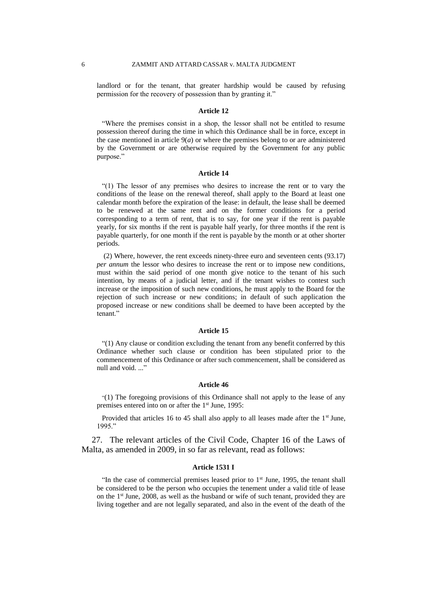landlord or for the tenant, that greater hardship would be caused by refusing permission for the recovery of possession than by granting it."

### **Article 12**

"Where the premises consist in a shop, the lessor shall not be entitled to resume possession thereof during the time in which this Ordinance shall be in force, except in the case mentioned in article  $9(a)$  or where the premises belong to or are administered by the Government or are otherwise required by the Government for any public purpose."

### **Article 14**

"(1) The lessor of any premises who desires to increase the rent or to vary the conditions of the lease on the renewal thereof, shall apply to the Board at least one calendar month before the expiration of the lease: in default, the lease shall be deemed to be renewed at the same rent and on the former conditions for a period corresponding to a term of rent, that is to say, for one year if the rent is payable yearly, for six months if the rent is payable half yearly, for three months if the rent is payable quarterly, for one month if the rent is payable by the month or at other shorter periods.

(2) Where, however, the rent exceeds ninety-three euro and seventeen cents (93.17) *per annum* the lessor who desires to increase the rent or to impose new conditions, must within the said period of one month give notice to the tenant of his such intention, by means of a judicial letter, and if the tenant wishes to contest such increase or the imposition of such new conditions, he must apply to the Board for the rejection of such increase or new conditions; in default of such application the proposed increase or new conditions shall be deemed to have been accepted by the tenant."

#### **Article 15**

"(1) Any clause or condition excluding the tenant from any benefit conferred by this Ordinance whether such clause or condition has been stipulated prior to the commencement of this Ordinance or after such commencement, shall be considered as null and void. ..."

### **Article 46**

"(1) The foregoing provisions of this Ordinance shall not apply to the lease of any premises entered into on or after the 1<sup>st</sup> June, 1995:

Provided that articles 16 to 45 shall also apply to all leases made after the 1<sup>st</sup> June, 1995."

27. The relevant articles of the Civil Code, Chapter 16 of the Laws of Malta, as amended in 2009, in so far as relevant, read as follows:

### **Article 1531 I**

"In the case of commercial premises leased prior to  $1<sup>st</sup>$  June, 1995, the tenant shall be considered to be the person who occupies the tenement under a valid title of lease on the 1st June, 2008, as well as the husband or wife of such tenant, provided they are living together and are not legally separated, and also in the event of the death of the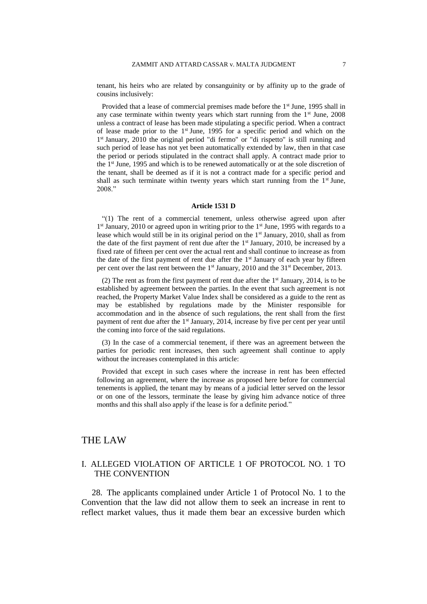tenant, his heirs who are related by consanguinity or by affinity up to the grade of cousins inclusively:

Provided that a lease of commercial premises made before the 1<sup>st</sup> June, 1995 shall in any case terminate within twenty years which start running from the  $1<sup>st</sup>$  June, 2008 unless a contract of lease has been made stipulating a specific period. When a contract of lease made prior to the  $1<sup>st</sup>$  June, 1995 for a specific period and which on the 1<sup>st</sup> January, 2010 the original period "di fermo" or "di rispetto" is still running and such period of lease has not yet been automatically extended by law, then in that case the period or periods stipulated in the contract shall apply. A contract made prior to the 1<sup>st</sup> June, 1995 and which is to be renewed automatically or at the sole discretion of the tenant, shall be deemed as if it is not a contract made for a specific period and shall as such terminate within twenty years which start running from the  $1<sup>st</sup>$  June, 2008."

### **Article 1531 D**

"(1) The rent of a commercial tenement, unless otherwise agreed upon after 1<sup>st</sup> January, 2010 or agreed upon in writing prior to the 1<sup>st</sup> June, 1995 with regards to a lease which would still be in its original period on the 1<sup>st</sup> January, 2010, shall as from the date of the first payment of rent due after the  $1<sup>st</sup>$  January, 2010, be increased by a fixed rate of fifteen per cent over the actual rent and shall continue to increase as from the date of the first payment of rent due after the  $1<sup>st</sup>$  January of each year by fifteen per cent over the last rent between the 1<sup>st</sup> January, 2010 and the 31<sup>st</sup> December, 2013.

(2) The rent as from the first payment of rent due after the  $1<sup>st</sup>$  January, 2014, is to be established by agreement between the parties. In the event that such agreement is not reached, the Property Market Value Index shall be considered as a guide to the rent as may be established by regulations made by the Minister responsible for accommodation and in the absence of such regulations, the rent shall from the first payment of rent due after the 1<sup>st</sup> January, 2014, increase by five per cent per year until the coming into force of the said regulations.

(3) In the case of a commercial tenement, if there was an agreement between the parties for periodic rent increases, then such agreement shall continue to apply without the increases contemplated in this article:

Provided that except in such cases where the increase in rent has been effected following an agreement, where the increase as proposed here before for commercial tenements is applied, the tenant may by means of a judicial letter served on the lessor or on one of the lessors, terminate the lease by giving him advance notice of three months and this shall also apply if the lease is for a definite period."

# THE LAW

# I. ALLEGED VIOLATION OF ARTICLE 1 OF PROTOCOL NO. 1 TO THE CONVENTION

28. The applicants complained under Article 1 of Protocol No. 1 to the Convention that the law did not allow them to seek an increase in rent to reflect market values, thus it made them bear an excessive burden which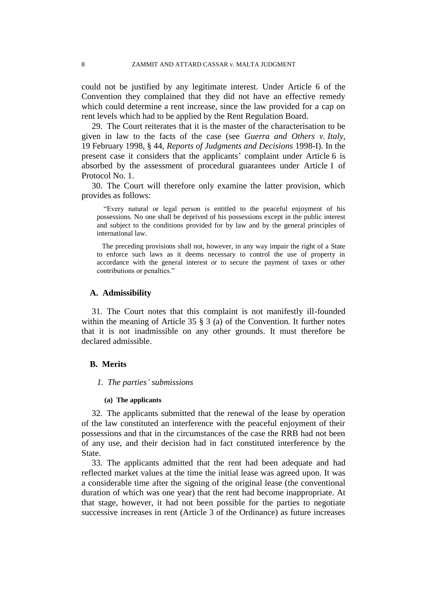could not be justified by any legitimate interest. Under Article 6 of the Convention they complained that they did not have an effective remedy which could determine a rent increase, since the law provided for a cap on rent levels which had to be applied by the Rent Regulation Board.

29. The Court reiterates that it is the master of the characterisation to be given in law to the facts of the case (see *Guerra and Others v. Italy*, 19 February 1998, § 44, *Reports of Judgments and Decisions* 1998-I). In the present case it considers that the applicants' complaint under Article 6 is absorbed by the assessment of procedural guarantees under Article 1 of Protocol No. 1.

30. The Court will therefore only examine the latter provision, which provides as follows:

"Every natural or legal person is entitled to the peaceful enjoyment of his possessions. No one shall be deprived of his possessions except in the public interest and subject to the conditions provided for by law and by the general principles of international law.

The preceding provisions shall not, however, in any way impair the right of a State to enforce such laws as it deems necessary to control the use of property in accordance with the general interest or to secure the payment of taxes or other contributions or penalties."

### **A. Admissibility**

31. The Court notes that this complaint is not manifestly ill-founded within the meaning of Article 35 § 3 (a) of the Convention. It further notes that it is not inadmissible on any other grounds. It must therefore be declared admissible.

# **B. Merits**

## *1. The parties' submissions*

### **(a) The applicants**

32. The applicants submitted that the renewal of the lease by operation of the law constituted an interference with the peaceful enjoyment of their possessions and that in the circumstances of the case the RRB had not been of any use, and their decision had in fact constituted interference by the State.

33. The applicants admitted that the rent had been adequate and had reflected market values at the time the initial lease was agreed upon. It was a considerable time after the signing of the original lease (the conventional duration of which was one year) that the rent had become inappropriate. At that stage, however, it had not been possible for the parties to negotiate successive increases in rent (Article 3 of the Ordinance) as future increases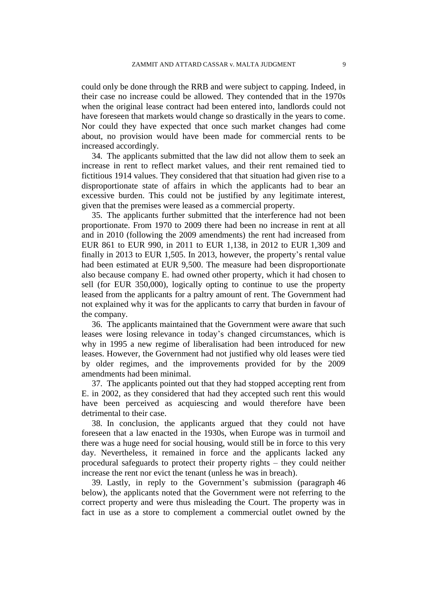could only be done through the RRB and were subject to capping. Indeed, in their case no increase could be allowed. They contended that in the 1970s when the original lease contract had been entered into, landlords could not have foreseen that markets would change so drastically in the years to come. Nor could they have expected that once such market changes had come about, no provision would have been made for commercial rents to be increased accordingly.

34. The applicants submitted that the law did not allow them to seek an increase in rent to reflect market values, and their rent remained tied to fictitious 1914 values. They considered that that situation had given rise to a disproportionate state of affairs in which the applicants had to bear an excessive burden. This could not be justified by any legitimate interest, given that the premises were leased as a commercial property.

35. The applicants further submitted that the interference had not been proportionate. From 1970 to 2009 there had been no increase in rent at all and in 2010 (following the 2009 amendments) the rent had increased from EUR 861 to EUR 990, in 2011 to EUR 1,138, in 2012 to EUR 1,309 and finally in 2013 to EUR 1,505. In 2013, however, the property's rental value had been estimated at EUR 9,500. The measure had been disproportionate also because company E. had owned other property, which it had chosen to sell (for EUR 350,000), logically opting to continue to use the property leased from the applicants for a paltry amount of rent. The Government had not explained why it was for the applicants to carry that burden in favour of the company.

36. The applicants maintained that the Government were aware that such leases were losing relevance in today's changed circumstances, which is why in 1995 a new regime of liberalisation had been introduced for new leases. However, the Government had not justified why old leases were tied by older regimes, and the improvements provided for by the 2009 amendments had been minimal.

37. The applicants pointed out that they had stopped accepting rent from E. in 2002, as they considered that had they accepted such rent this would have been perceived as acquiescing and would therefore have been detrimental to their case.

38. In conclusion, the applicants argued that they could not have foreseen that a law enacted in the 1930s, when Europe was in turmoil and there was a huge need for social housing, would still be in force to this very day. Nevertheless, it remained in force and the applicants lacked any procedural safeguards to protect their property rights – they could neither increase the rent nor evict the tenant (unless he was in breach).

39. Lastly, in reply to the Government's submission (paragraph 46 below), the applicants noted that the Government were not referring to the correct property and were thus misleading the Court. The property was in fact in use as a store to complement a commercial outlet owned by the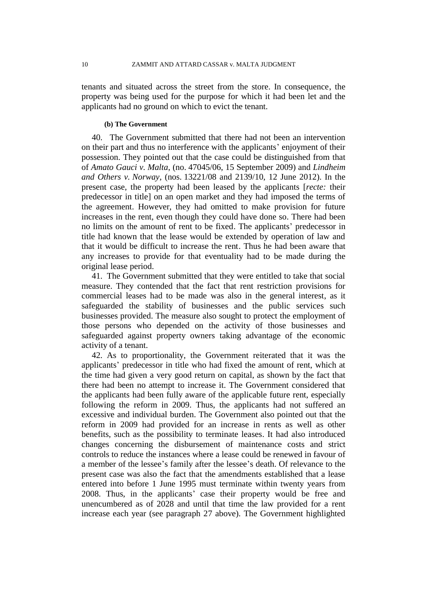tenants and situated across the street from the store. In consequence, the property was being used for the purpose for which it had been let and the applicants had no ground on which to evict the tenant.

# **(b) The Government**

40. The Government submitted that there had not been an intervention on their part and thus no interference with the applicants' enjoyment of their possession. They pointed out that the case could be distinguished from that of *Amato Gauci v. Malta*, (no. 47045/06, 15 September 2009) and *Lindheim and Others v. Norway*, (nos. 13221/08 and 2139/10, 12 June 2012). In the present case, the property had been leased by the applicants [*recte:* their predecessor in title] on an open market and they had imposed the terms of the agreement. However, they had omitted to make provision for future increases in the rent, even though they could have done so. There had been no limits on the amount of rent to be fixed. The applicants' predecessor in title had known that the lease would be extended by operation of law and that it would be difficult to increase the rent. Thus he had been aware that any increases to provide for that eventuality had to be made during the original lease period.

41. The Government submitted that they were entitled to take that social measure. They contended that the fact that rent restriction provisions for commercial leases had to be made was also in the general interest, as it safeguarded the stability of businesses and the public services such businesses provided. The measure also sought to protect the employment of those persons who depended on the activity of those businesses and safeguarded against property owners taking advantage of the economic activity of a tenant.

42. As to proportionality, the Government reiterated that it was the applicants' predecessor in title who had fixed the amount of rent, which at the time had given a very good return on capital, as shown by the fact that there had been no attempt to increase it. The Government considered that the applicants had been fully aware of the applicable future rent, especially following the reform in 2009. Thus, the applicants had not suffered an excessive and individual burden. The Government also pointed out that the reform in 2009 had provided for an increase in rents as well as other benefits, such as the possibility to terminate leases. It had also introduced changes concerning the disbursement of maintenance costs and strict controls to reduce the instances where a lease could be renewed in favour of a member of the lessee's family after the lessee's death. Of relevance to the present case was also the fact that the amendments established that a lease entered into before 1 June 1995 must terminate within twenty years from 2008. Thus, in the applicants' case their property would be free and unencumbered as of 2028 and until that time the law provided for a rent increase each year (see paragraph 27 above). The Government highlighted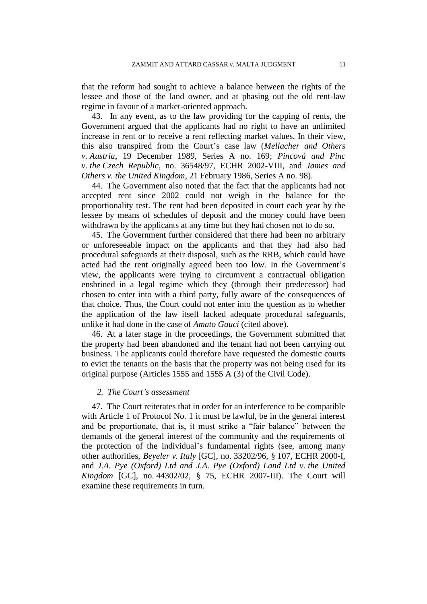that the reform had sought to achieve a balance between the rights of the lessee and those of the land owner, and at phasing out the old rent-law regime in favour of a market-oriented approach.

43. In any event, as to the law providing for the capping of rents, the Government argued that the applicants had no right to have an unlimited increase in rent or to receive a rent reflecting market values. In their view, this also transpired from the Court's case law (*Mellacher and Others v. Austria*, 19 December 1989, Series A no. 169; *Pincová and Pinc v. the Czech Republic*, no. 36548/97, ECHR 2002-VIII, and *James and Others v. the United Kingdom*, 21 February 1986, Series A no. 98).

44. The Government also noted that the fact that the applicants had not accepted rent since 2002 could not weigh in the balance for the proportionality test. The rent had been deposited in court each year by the lessee by means of schedules of deposit and the money could have been withdrawn by the applicants at any time but they had chosen not to do so.

45. The Government further considered that there had been no arbitrary or unforeseeable impact on the applicants and that they had also had procedural safeguards at their disposal, such as the RRB, which could have acted had the rent originally agreed been too low. In the Government's view, the applicants were trying to circumvent a contractual obligation enshrined in a legal regime which they (through their predecessor) had chosen to enter into with a third party, fully aware of the consequences of that choice. Thus, the Court could not enter into the question as to whether the application of the law itself lacked adequate procedural safeguards, unlike it had done in the case of *Amato Gauci* (cited above).

46. At a later stage in the proceedings, the Government submitted that the property had been abandoned and the tenant had not been carrying out business. The applicants could therefore have requested the domestic courts to evict the tenants on the basis that the property was not being used for its original purpose (Articles 1555 and 1555 A (3) of the Civil Code).

## *2. The Court's assessment*

47. The Court reiterates that in order for an interference to be compatible with Article 1 of Protocol No. 1 it must be lawful, be in the general interest and be proportionate, that is, it must strike a "fair balance" between the demands of the general interest of the community and the requirements of the protection of the individual's fundamental rights (see, among many other authorities, *Beyeler v. Italy* [GC], no. 33202/96, § 107, ECHR 2000-I, and *J.A. Pye (Oxford) Ltd and J.A. Pye (Oxford) Land Ltd v. the United Kingdom* [GC], no. 44302/02, § 75, ECHR 2007-III). The Court will examine these requirements in turn.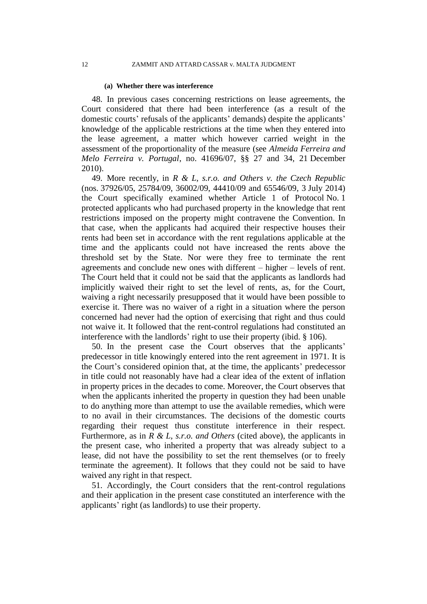### **(a) Whether there was interference**

48. In previous cases concerning restrictions on lease agreements, the Court considered that there had been interference (as a result of the domestic courts' refusals of the applicants' demands) despite the applicants' knowledge of the applicable restrictions at the time when they entered into the lease agreement, a matter which however carried weight in the assessment of the proportionality of the measure (see *Almeida Ferreira and Melo Ferreira v. Portugal*, no. 41696/07, §§ 27 and 34, 21 December 2010).

49. More recently, in *R & L, s.r.o. and Others v. the Czech Republic* (nos. 37926/05, 25784/09, 36002/09, 44410/09 and 65546/09, 3 July 2014) the Court specifically examined whether Article 1 of Protocol No. 1 protected applicants who had purchased property in the knowledge that rent restrictions imposed on the property might contravene the Convention. In that case, when the applicants had acquired their respective houses their rents had been set in accordance with the rent regulations applicable at the time and the applicants could not have increased the rents above the threshold set by the State. Nor were they free to terminate the rent agreements and conclude new ones with different – higher – levels of rent. The Court held that it could not be said that the applicants as landlords had implicitly waived their right to set the level of rents, as, for the Court, waiving a right necessarily presupposed that it would have been possible to exercise it. There was no waiver of a right in a situation where the person concerned had never had the option of exercising that right and thus could not waive it. It followed that the rent-control regulations had constituted an interference with the landlords' right to use their property (ibid. § 106).

50. In the present case the Court observes that the applicants' predecessor in title knowingly entered into the rent agreement in 1971. It is the Court's considered opinion that, at the time, the applicants' predecessor in title could not reasonably have had a clear idea of the extent of inflation in property prices in the decades to come. Moreover, the Court observes that when the applicants inherited the property in question they had been unable to do anything more than attempt to use the available remedies, which were to no avail in their circumstances. The decisions of the domestic courts regarding their request thus constitute interference in their respect. Furthermore, as in *R & L, s.r.o. and Others* (cited above), the applicants in the present case, who inherited a property that was already subject to a lease, did not have the possibility to set the rent themselves (or to freely terminate the agreement). It follows that they could not be said to have waived any right in that respect.

51. Accordingly, the Court considers that the rent-control regulations and their application in the present case constituted an interference with the applicants' right (as landlords) to use their property.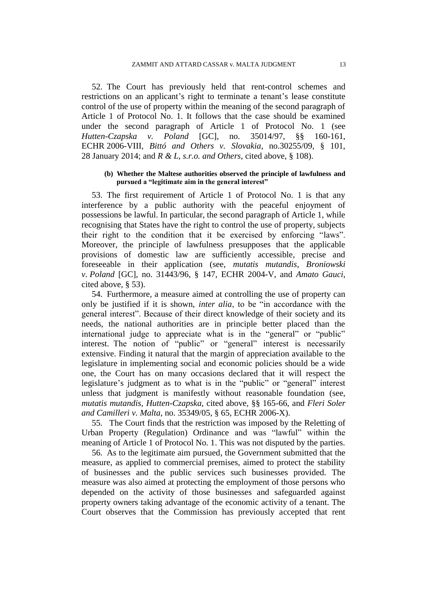52. The Court has previously held that rent-control schemes and restrictions on an applicant's right to terminate a tenant's lease constitute control of the use of property within the meaning of the second paragraph of Article 1 of Protocol No. 1. It follows that the case should be examined under the second paragraph of Article 1 of Protocol No. 1 (see *Hutten-Czapska v. Poland* [GC], no. 35014/97, §§ 160-161, ECHR 2006-VIII, *Bittó and Others v. Slovakia*, no.30255/09, § 101, 28 January 2014; and *R & L, s.r.o. and Others*, cited above, § 108).

### **(b) Whether the Maltese authorities observed the principle of lawfulness and pursued a "legitimate aim in the general interest"**

53. The first requirement of Article 1 of Protocol No. 1 is that any interference by a public authority with the peaceful enjoyment of possessions be lawful. In particular, the second paragraph of Article 1, while recognising that States have the right to control the use of property, subjects their right to the condition that it be exercised by enforcing "laws". Moreover, the principle of lawfulness presupposes that the applicable provisions of domestic law are sufficiently accessible, precise and foreseeable in their application (see, *mutatis mutandis*, *Broniowski v. Poland* [GC], no. 31443/96, § 147, ECHR 2004-V, and *Amato Gauci*, cited above, § 53).

54. Furthermore, a measure aimed at controlling the use of property can only be justified if it is shown, *inter alia*, to be "in accordance with the general interest". Because of their direct knowledge of their society and its needs, the national authorities are in principle better placed than the international judge to appreciate what is in the "general" or "public" interest. The notion of "public" or "general" interest is necessarily extensive. Finding it natural that the margin of appreciation available to the legislature in implementing social and economic policies should be a wide one, the Court has on many occasions declared that it will respect the legislature's judgment as to what is in the "public" or "general" interest unless that judgment is manifestly without reasonable foundation (see, *mutatis mutandis*, *Hutten-Czapska*, cited above, §§ 165-66, and *Fleri Soler and Camilleri v. Malta*, no. 35349/05, § 65, ECHR 2006-X).

55. The Court finds that the restriction was imposed by the Reletting of Urban Property (Regulation) Ordinance and was "lawful" within the meaning of Article 1 of Protocol No. 1. This was not disputed by the parties.

56. As to the legitimate aim pursued, the Government submitted that the measure, as applied to commercial premises, aimed to protect the stability of businesses and the public services such businesses provided. The measure was also aimed at protecting the employment of those persons who depended on the activity of those businesses and safeguarded against property owners taking advantage of the economic activity of a tenant. The Court observes that the Commission has previously accepted that rent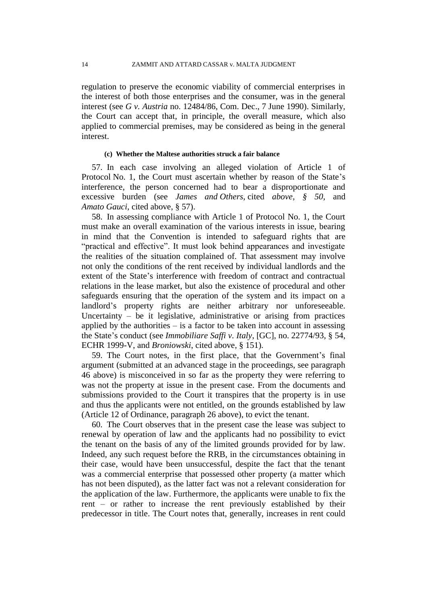regulation to preserve the economic viability of commercial enterprises in the interest of both those enterprises and the consumer, was in the general interest (see *G v. Austria* no. 12484/86, Com. Dec., 7 June 1990). Similarly, the Court can accept that, in principle, the overall measure, which also applied to commercial premises, may be considered as being in the general interest.

# **(c) Whether the Maltese authorities struck a fair balance**

57. In each case involving an alleged violation of Article 1 of Protocol No. 1, the Court must ascertain whether by reason of the State's interference, the person concerned had to bear a disproportionate and excessive burden (see *James and Others*, cited *above, § 50*, and *Amato Gauci*, cited above, § 57).

58. In assessing compliance with Article 1 of Protocol No. 1, the Court must make an overall examination of the various interests in issue, bearing in mind that the Convention is intended to safeguard rights that are "practical and effective". It must look behind appearances and investigate the realities of the situation complained of. That assessment may involve not only the conditions of the rent received by individual landlords and the extent of the State's interference with freedom of contract and contractual relations in the lease market, but also the existence of procedural and other safeguards ensuring that the operation of the system and its impact on a landlord's property rights are neither arbitrary nor unforeseeable. Uncertainty  $-$  be it legislative, administrative or arising from practices applied by the authorities  $-$  is a factor to be taken into account in assessing the State's conduct (see *Immobiliare Saffi v. Italy*, [GC], no. 22774/93, § 54, ECHR 1999-V, and *Broniowski*, cited above, § 151).

59. The Court notes, in the first place, that the Government's final argument (submitted at an advanced stage in the proceedings, see paragraph 46 above) is misconceived in so far as the property they were referring to was not the property at issue in the present case. From the documents and submissions provided to the Court it transpires that the property is in use and thus the applicants were not entitled, on the grounds established by law (Article 12 of Ordinance, paragraph 26 above), to evict the tenant.

60. The Court observes that in the present case the lease was subject to renewal by operation of law and the applicants had no possibility to evict the tenant on the basis of any of the limited grounds provided for by law. Indeed, any such request before the RRB, in the circumstances obtaining in their case, would have been unsuccessful, despite the fact that the tenant was a commercial enterprise that possessed other property (a matter which has not been disputed), as the latter fact was not a relevant consideration for the application of the law. Furthermore, the applicants were unable to fix the rent – or rather to increase the rent previously established by their predecessor in title. The Court notes that, generally, increases in rent could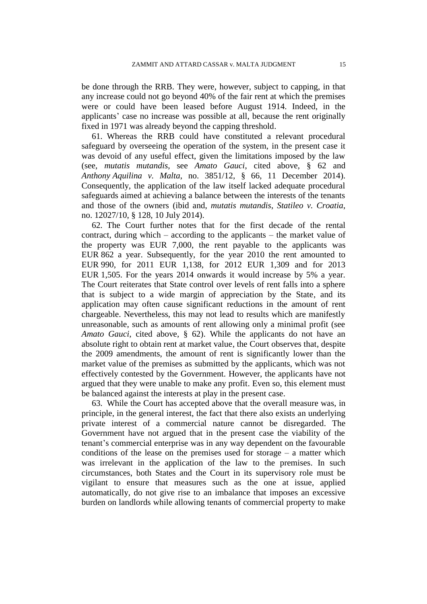be done through the RRB. They were, however, subject to capping, in that any increase could not go beyond 40% of the fair rent at which the premises were or could have been leased before August 1914. Indeed, in the applicants' case no increase was possible at all, because the rent originally fixed in 1971 was already beyond the capping threshold.

61. Whereas the RRB could have constituted a relevant procedural safeguard by overseeing the operation of the system, in the present case it was devoid of any useful effect, given the limitations imposed by the law (see, *mutatis mutandis*, see *Amato Gauci*, cited above, § 62 and *Anthony Aquilina v. Malta*, no. 3851/12, § 66, 11 December 2014). Consequently, the application of the law itself lacked adequate procedural safeguards aimed at achieving a balance between the interests of the tenants and those of the owners (ibid and, *mutatis mutandis*, *Statileo v. Croatia*, no. 12027/10, § 128, 10 July 2014).

62. The Court further notes that for the first decade of the rental contract, during which – according to the applicants – the market value of the property was EUR 7,000, the rent payable to the applicants was EUR 862 a year. Subsequently, for the year 2010 the rent amounted to EUR 990, for 2011 EUR 1,138, for 2012 EUR 1,309 and for 2013 EUR 1,505. For the years 2014 onwards it would increase by 5% a year. The Court reiterates that State control over levels of rent falls into a sphere that is subject to a wide margin of appreciation by the State, and its application may often cause significant reductions in the amount of rent chargeable. Nevertheless, this may not lead to results which are manifestly unreasonable, such as amounts of rent allowing only a minimal profit (see *Amato Gauci*, cited above, § 62). While the applicants do not have an absolute right to obtain rent at market value, the Court observes that, despite the 2009 amendments, the amount of rent is significantly lower than the market value of the premises as submitted by the applicants, which was not effectively contested by the Government. However, the applicants have not argued that they were unable to make any profit. Even so, this element must be balanced against the interests at play in the present case.

63. While the Court has accepted above that the overall measure was, in principle, in the general interest, the fact that there also exists an underlying private interest of a commercial nature cannot be disregarded. The Government have not argued that in the present case the viability of the tenant's commercial enterprise was in any way dependent on the favourable conditions of the lease on the premises used for storage – a matter which was irrelevant in the application of the law to the premises. In such circumstances, both States and the Court in its supervisory role must be vigilant to ensure that measures such as the one at issue, applied automatically, do not give rise to an imbalance that imposes an excessive burden on landlords while allowing tenants of commercial property to make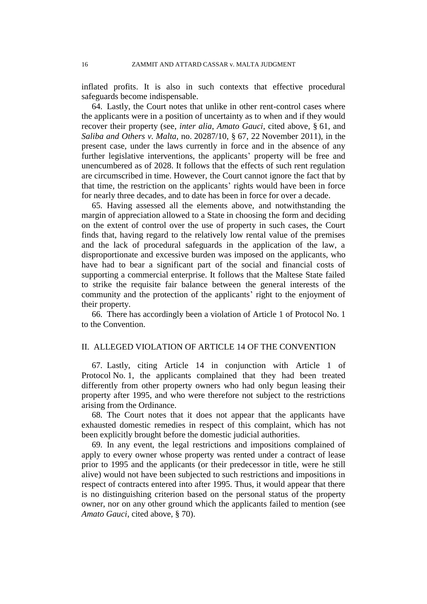inflated profits. It is also in such contexts that effective procedural safeguards become indispensable.

64. Lastly, the Court notes that unlike in other rent-control cases where the applicants were in a position of uncertainty as to when and if they would recover their property (see, *inter alia*, *Amato Gauci*, cited above, § 61, and *Saliba and Others v. Malta*, no. 20287/10, § 67, 22 November 2011), in the present case, under the laws currently in force and in the absence of any further legislative interventions, the applicants' property will be free and unencumbered as of 2028. It follows that the effects of such rent regulation are circumscribed in time. However, the Court cannot ignore the fact that by that time, the restriction on the applicants' rights would have been in force for nearly three decades, and to date has been in force for over a decade.

65. Having assessed all the elements above, and notwithstanding the margin of appreciation allowed to a State in choosing the form and deciding on the extent of control over the use of property in such cases, the Court finds that, having regard to the relatively low rental value of the premises and the lack of procedural safeguards in the application of the law, a disproportionate and excessive burden was imposed on the applicants, who have had to bear a significant part of the social and financial costs of supporting a commercial enterprise. It follows that the Maltese State failed to strike the requisite fair balance between the general interests of the community and the protection of the applicants' right to the enjoyment of their property.

66. There has accordingly been a violation of Article 1 of Protocol No. 1 to the Convention.

## II. ALLEGED VIOLATION OF ARTICLE 14 OF THE CONVENTION

67. Lastly, citing Article 14 in conjunction with Article 1 of Protocol No. 1, the applicants complained that they had been treated differently from other property owners who had only begun leasing their property after 1995, and who were therefore not subject to the restrictions arising from the Ordinance.

68. The Court notes that it does not appear that the applicants have exhausted domestic remedies in respect of this complaint, which has not been explicitly brought before the domestic judicial authorities.

69. In any event, the legal restrictions and impositions complained of apply to every owner whose property was rented under a contract of lease prior to 1995 and the applicants (or their predecessor in title, were he still alive) would not have been subjected to such restrictions and impositions in respect of contracts entered into after 1995. Thus, it would appear that there is no distinguishing criterion based on the personal status of the property owner, nor on any other ground which the applicants failed to mention (see *Amato Gauci*, cited above, § 70).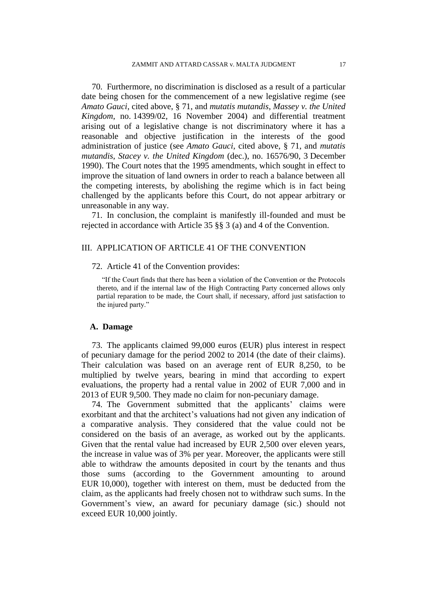70. Furthermore, no discrimination is disclosed as a result of a particular date being chosen for the commencement of a new legislative regime (see *Amato Gauci*, cited above, § 71, and *mutatis mutandis*, *Massey v. the United Kingdom*, no. 14399/02, 16 November 2004) and differential treatment arising out of a legislative change is not discriminatory where it has a reasonable and objective justification in the interests of the good administration of justice (see *Amato Gauci*, cited above, § 71, and *mutatis mutandis*, *Stacey v. the United Kingdom* (dec.), no. 16576/90, 3 December 1990). The Court notes that the 1995 amendments, which sought in effect to improve the situation of land owners in order to reach a balance between all the competing interests, by abolishing the regime which is in fact being challenged by the applicants before this Court, do not appear arbitrary or unreasonable in any way.

71. In conclusion, the complaint is manifestly ill-founded and must be rejected in accordance with Article 35 §§ 3 (a) and 4 of the Convention.

# III. APPLICATION OF ARTICLE 41 OF THE CONVENTION

## 72. Article 41 of the Convention provides:

"If the Court finds that there has been a violation of the Convention or the Protocols thereto, and if the internal law of the High Contracting Party concerned allows only partial reparation to be made, the Court shall, if necessary, afford just satisfaction to the injured party."

## **A. Damage**

73. The applicants claimed 99,000 euros (EUR) plus interest in respect of pecuniary damage for the period 2002 to 2014 (the date of their claims). Their calculation was based on an average rent of EUR 8,250, to be multiplied by twelve years, bearing in mind that according to expert evaluations, the property had a rental value in 2002 of EUR 7,000 and in 2013 of EUR 9,500. They made no claim for non-pecuniary damage.

74. The Government submitted that the applicants' claims were exorbitant and that the architect's valuations had not given any indication of a comparative analysis. They considered that the value could not be considered on the basis of an average, as worked out by the applicants. Given that the rental value had increased by EUR 2,500 over eleven years, the increase in value was of 3% per year. Moreover, the applicants were still able to withdraw the amounts deposited in court by the tenants and thus those sums (according to the Government amounting to around EUR 10,000), together with interest on them, must be deducted from the claim, as the applicants had freely chosen not to withdraw such sums. In the Government's view, an award for pecuniary damage (sic.) should not exceed EUR 10,000 jointly.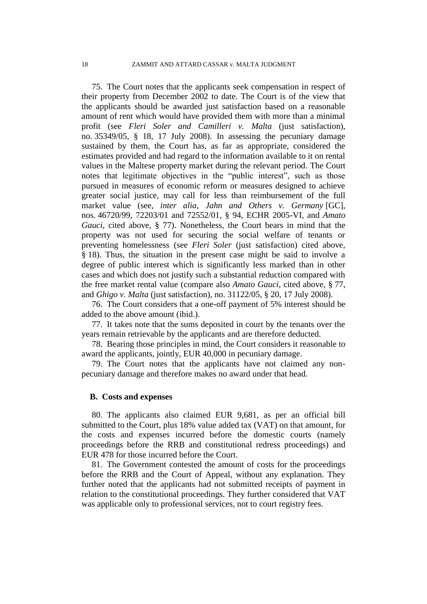75. The Court notes that the applicants seek compensation in respect of their property from December 2002 to date. The Court is of the view that the applicants should be awarded just satisfaction based on a reasonable amount of rent which would have provided them with more than a minimal profit (see *Fleri Soler and Camilleri v. Malta* (just satisfaction), no. 35349/05, § 18, 17 July 2008). In assessing the pecuniary damage sustained by them, the Court has, as far as appropriate, considered the estimates provided and had regard to the information available to it on rental values in the Maltese property market during the relevant period. The Court notes that legitimate objectives in the "public interest", such as those pursued in measures of economic reform or measures designed to achieve greater social justice, may call for less than reimbursement of the full market value (see, *inter alia*, *Jahn and Others v. Germany* [GC], nos. 46720/99, 72203/01 and 72552/01, § 94, ECHR 2005-VI, and *Amato Gauci*, cited above, § 77). Nonetheless, the Court bears in mind that the property was not used for securing the social welfare of tenants or preventing homelessness (see *Fleri Soler* (just satisfaction) cited above, § 18). Thus, the situation in the present case might be said to involve a degree of public interest which is significantly less marked than in other cases and which does not justify such a substantial reduction compared with the free market rental value (compare also *Amato Gauci*, cited above, § 77, and *Ghigo v. Malta* (just satisfaction), no. 31122/05, § 20, 17 July 2008).

76. The Court considers that a one-off payment of 5% interest should be added to the above amount (ibid.).

77. It takes note that the sums deposited in court by the tenants over the years remain retrievable by the applicants and are therefore deducted.

78. Bearing those principles in mind, the Court considers it reasonable to award the applicants, jointly, EUR 40,000 in pecuniary damage.

79. The Court notes that the applicants have not claimed any nonpecuniary damage and therefore makes no award under that head.

## **B. Costs and expenses**

80. The applicants also claimed EUR 9,681, as per an official bill submitted to the Court, plus 18% value added tax (VAT) on that amount, for the costs and expenses incurred before the domestic courts (namely proceedings before the RRB and constitutional redress proceedings) and EUR 478 for those incurred before the Court.

81. The Government contested the amount of costs for the proceedings before the RRB and the Court of Appeal, without any explanation. They further noted that the applicants had not submitted receipts of payment in relation to the constitutional proceedings. They further considered that VAT was applicable only to professional services, not to court registry fees.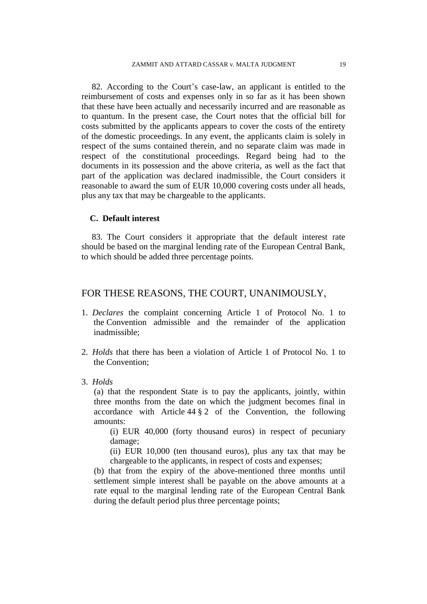82. According to the Court's case-law, an applicant is entitled to the reimbursement of costs and expenses only in so far as it has been shown that these have been actually and necessarily incurred and are reasonable as to quantum. In the present case, the Court notes that the official bill for costs submitted by the applicants appears to cover the costs of the entirety of the domestic proceedings. In any event, the applicants claim is solely in respect of the sums contained therein, and no separate claim was made in respect of the constitutional proceedings. Regard being had to the documents in its possession and the above criteria, as well as the fact that part of the application was declared inadmissible, the Court considers it reasonable to award the sum of EUR 10,000 covering costs under all heads, plus any tax that may be chargeable to the applicants.

## **C. Default interest**

83. The Court considers it appropriate that the default interest rate should be based on the marginal lending rate of the European Central Bank, to which should be added three percentage points.

# FOR THESE REASONS, THE COURT, UNANIMOUSLY,

- 1. *Declares* the complaint concerning Article 1 of Protocol No. 1 to the Convention admissible and the remainder of the application inadmissible;
- 2. *Holds* that there has been a violation of Article 1 of Protocol No. 1 to the Convention;
- 3. *Holds*

(a) that the respondent State is to pay the applicants, jointly, within three months from the date on which the judgment becomes final in accordance with Article  $44 \frac{8}{9}$  2 of the Convention, the following amounts:

(i) EUR 40,000 (forty thousand euros) in respect of pecuniary damage;

(ii) EUR 10,000 (ten thousand euros), plus any tax that may be chargeable to the applicants, in respect of costs and expenses;

(b) that from the expiry of the above-mentioned three months until settlement simple interest shall be payable on the above amounts at a rate equal to the marginal lending rate of the European Central Bank during the default period plus three percentage points;